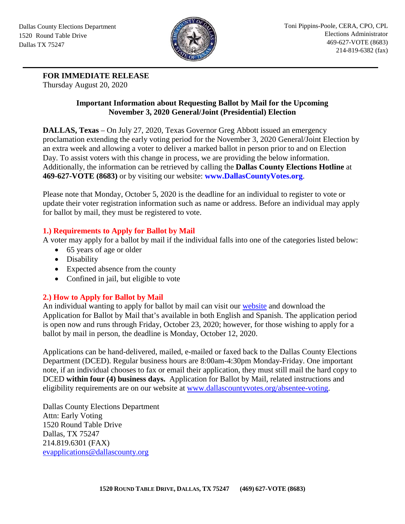

**FOR IMMEDIATE RELEASE**

Thursday August 20, 2020

## **Important Information about Requesting Ballot by Mail for the Upcoming November 3, 2020 General/Joint (Presidential) Election**

**DALLAS, Texas** – On July 27, 2020, Texas Governor Greg Abbott issued an emergency proclamation extending the early voting period for the November 3, 2020 General/Joint Election by an extra week and allowing a voter to deliver a marked ballot in person prior to and on Election Day. To assist voters with this change in process, we are providing the below information. Additionally, the information can be retrieved by calling the **Dallas County Elections Hotline** at **469-627-VOTE (8683)** or by visiting our website: **[www.DallasCountyVotes.org](http://www.dallascountyvotes.org/)**.

Please note that Monday, October 5, 2020 is the deadline for an individual to register to vote or update their voter registration information such as name or address. Before an individual may apply for ballot by mail, they must be registered to vote.

# **1.) Requirements to Apply for Ballot by Mail**

A voter may apply for a ballot by mail if the individual falls into one of the categories listed below:

- 65 years of age or older
- Disability
- Expected absence from the county
- Confined in jail, but eligible to vote

# **2.) How to Apply for Ballot by Mail**

An individual wanting to apply for ballot by mail can visit our [website](https://www.dallascountyvotes.org/absentee-voting/) and download the Application for Ballot by Mail that's available in both English and Spanish. The application period is open now and runs through Friday, October 23, 2020; however, for those wishing to apply for a ballot by mail in person, the deadline is Monday, October 12, 2020.

Applications can be hand-delivered, mailed, e-mailed or faxed back to the Dallas County Elections Department (DCED). Regular business hours are 8:00am-4:30pm Monday-Friday. One important note, if an individual chooses to fax or email their application, they must still mail the hard copy to DCED **within four (4) business days.** Application for Ballot by Mail, related instructions and eligibility requirements are on our website at [www.dallascountyvotes.org/absentee-voting.](http://www.dallascountyvotes.org/absentee-voting)

Dallas County Elections Department Attn: Early Voting 1520 Round Table Drive Dallas, TX 75247 214.819.6301 (FAX) [evapplications@dallascounty.org](mailto:evapplications@dallascounty.org)